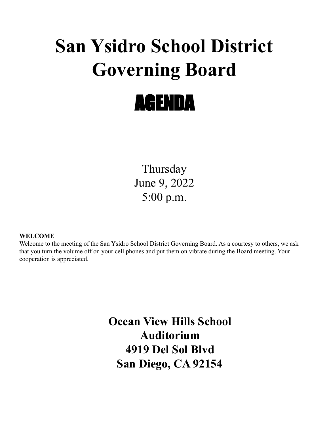# **San Ysidro School District Governing Board**



Thursday June 9, 2022 5:00 p.m.

# **WELCOME**

Welcome to the meeting of the San Ysidro School District Governing Board. As a courtesy to others, we ask that you turn the volume off on your cell phones and put them on vibrate during the Board meeting. Your cooperation is appreciated.

> **Ocean View Hills School Auditorium 4919 Del Sol Blvd San Diego, CA 92154**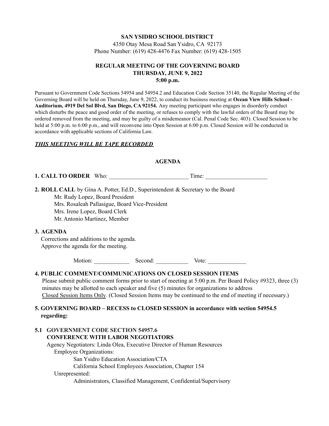# **SAN YSIDRO SCHOOL DISTRICT**

4350 Otay Mesa Road San Ysidro, CA 92173 Phone Number: (619) 428-4476 Fax Number: (619) 428-1505

# **REGULAR MEETING OF THE GOVERNING BOARD THURSDAY, JUNE 9, 2022 5:00 p.m.**

Pursuant to Government Code Sections 54954 and 54954.2 and Education Code Section 35140, the Regular Meeting of the Governing Board will be held on Thursday, June 9, 2022, to conduct its business meeting at **Ocean View Hills School - Auditorium, 4919 Del Sol Blvd, San Diego, CA 92154.** Any meeting participant who engages in disorderly conduct which disturbs the peace and good order of the meeting, or refuses to comply with the lawful orders of the Board may be ordered removed from the meeting, and may be guilty of a misdemeanor (Cal. Penal Code Sec. 403). Closed Session to be held at 5:00 p.m. to 6:00 p.m., and will reconvene into Open Session at 6:00 p.m. Closed Session will be conducted in accordance with applicable sections of California Law.

## *THIS MEETING WILL BE TAPE RECORDED*

#### **AGENDA**

**1. CALL TO ORDER** Who: Time:

**2. ROLL CALL** by Gina A. Potter, Ed.D., Superintendent & Secretary to the Board Mr. Rudy Lopez, Board President Mrs. Rosaleah Pallasigue, Board Vice-President Mrs. Irene Lopez, Board Clerk Mr. Antonio Martinez, Member

#### **3. AGENDA**

Corrections and additions to the agenda. Approve the agenda for the meeting.

Motion: Second: Vote:

#### **4. PUBLIC COMMENT/COMMUNICATIONS ON CLOSED SESSION ITEMS**

Please submit public comment forms prior to start of meeting at 5:00 p.m. Per Board Policy #9323, three (3) minutes may be allotted to each speaker and five (5) minutes for organizations to address Closed Session Items Only. (Closed Session Items may be continued to the end of meeting if necessary.)

## **5. GOVERNING BOARD – RECESS to CLOSED SESSION in accordance with section 54954.5 regarding:**

#### **5.1 GOVERNMENT CODE SECTION 54957.6 CONFERENCE WITH LABOR NEGOTIATORS**

Agency Negotiators: Linda Olea, Executive Director of Human Resources Employee Organizations: San Ysidro Education Association/CTA California School Employees Association, Chapter 154 Unrepresented:

Administrators, Classified Management, Confidential/Supervisory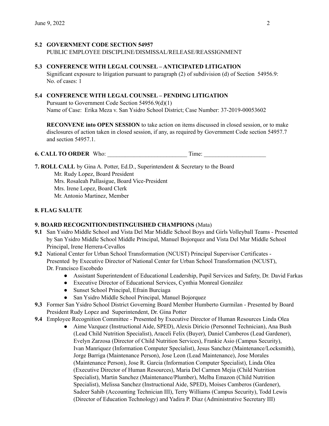# **5.2 GOVERNMENT CODE SECTION 54957**

PUBLIC EMPLOYEE DISCIPLINE/DISMISSAL/RELEASE/REASSIGNMENT

#### **5.3 CONFERENCE WITH LEGAL COUNSEL – ANTICIPATED LITIGATION**

Significant exposure to litigation pursuant to paragraph (2) of subdivision (d) of Section 54956.9: No. of cases: 1

## **5.4 CONFERENCE WITH LEGAL COUNSEL – PENDING LITIGATION**

Pursuant to Government Code Section 54956.9(d)(1) Name of Case: Erika Meza v. San Ysidro School District; Case Number: 37-2019-00053602

**RECONVENE into OPEN SESSION** to take action on items discussed in closed session, or to make disclosures of action taken in closed session, if any, as required by Government Code section 54957.7 and section 54957.1.

**6. CALL TO ORDER** Who: Time:

**7. ROLL CALL** by Gina A. Potter, Ed.D., Superintendent & Secretary to the Board Mr. Rudy Lopez, Board President Mrs. Rosaleah Pallasigue, Board Vice-President Mrs. Irene Lopez, Board Clerk Mr. Antonio Martinez, Member

# **8. FLAG SALUTE**

# **9. BOARD RECOGNITION/DISTINGUISHED CHAMPIONS** (Mata)

- **9.1** San Ysidro Middle School and Vista Del Mar Middle School Boys and Girls Volleyball Teams Presented by San Ysidro Middle School Middle Principal, Manuel Bojorquez and Vista Del Mar Middle School Principal, Irene Herrera-Cevallos
- **9.2** National Center for Urban School Transformation (NCUST) Principal Supervisor Certificates Presented by Executive Director of National Center for Urban School Transformation (NCUST), Dr. Francisco Escobedo
	- Assistant Superintendent of Educational Leadership, Pupil Services and Safety, Dr. David Farkas
	- Executive Director of Educational Services, Cynthia Monreal González
	- Sunset School Principal, Efrain Burciaga
	- San Ysidro Middle School Principal, Manuel Bojorquez
- **9.3** Former San Ysidro School District Governing Board Member Humberto Gurmilan Presented by Board President Rudy Lopez and Superintendent, Dr. Gina Potter
- **9.4** Employee Recognition Committee Presented by Executive Director of Human Resources Linda Olea
	- Aime Vazquez (Instructional Aide, SPED), Alexis Diricio (Personnel Technician), Ana Bush (Lead Child Nutrition Specialist), Araceli Felix (Buyer), Daniel Camberos (Lead Gardener), Evelyn Zarzosa (Director of Child Nutrition Services), Frankie Asio (Campus Security), Ivan Manriquez (Information Computer Specialist), Jesus Sanchez (Maintenance/Locksmith), Jorge Barriga (Maintenance Person), Jose Leon (Lead Maintenance), Jose Morales (Maintenance Person), Jose R. Garcia (Information Computer Specialist), Linda Olea (Executive Director of Human Resources), Maria Del Carmen Mejia (Child Nutrition Specialist), Martin Sanchez (Maintenance/Plumber), Melba Emazon (Child Nutrition Specialist), Melissa Sanchez (Instructional Aide, SPED), Moises Camberos (Gardener), Sadeer Sahib (Accounting Technician III), Terry Williams (Campus Security), Todd Lewis (Director of Education Technology) and Yadira P. Diaz (Administrative Secretary III)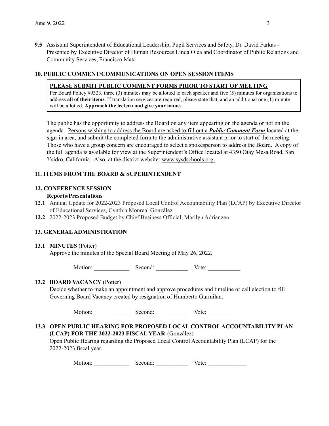**9.5** Assistant Superintendent of Educational Leadership, Pupil Services and Safety, Dr. David Farkas - Presented by Executive Director of Human Resources Linda Olea and Coordinator of Public Relations and Community Services, Francisco Mata

## **10. PUBLIC COMMENT/COMMUNICATIONS ON OPEN SESSION ITEMS**

#### **PLEASE SUBMIT PUBLIC COMMENT FORMS PRIOR TO START OF MEETING**

Per Board Policy #9323, three (3) minutes may be allotted to each speaker and five (5) minutes for organizations to address **all of their items**. If translation services are required, please state that, and an additional one (1) minute will be allotted. **Approach the lectern and give your name.**

The public has the opportunity to address the Board on any item appearing on the agenda or not on the agenda. Persons wishing to address the Board are asked to fill out a *Public Comment Form* located at the sign-in area, and submit the completed form to the administrative assistant prior to start of the meeting. Those who have a group concern are encouraged to select a spokesperson to address the Board. A copy of the full agenda is available for view at the Superintendent's Office located at 4350 Otay Mesa Road, San Ysidro, California. Also, at the district website: [www.sysdschools.org.](http://www.sysdschools.org)

## **11. ITEMS FROM THE BOARD & SUPERINTENDENT**

# **12. CONFERENCE SESSION**

#### **Reports/Presentations**

- **12.1** Annual Update for 2022-2023 Proposed Local Control Accountability Plan (LCAP) by Executive Director of Educational Services, Cynthia Monreal González
- **12.2** 2022-2023 Proposed Budget by Chief Business Official, Marilyn Adrianzen

# **13. GENERALADMINISTRATION**

#### **13.1 MINUTES** (Potter)

Approve the minutes of the Special Board Meeting of May 26, 2022.

Motion: Second: Second: Vote:

#### **13.2 BOARD VACANCY** (Potter)

Decide whether to make an appointment and approve procedures and timeline or call election to fill Governing Board Vacancy created by resignation of Humberto Gurmilan.

Motion: Second: Vote:

# **13.3 OPEN PUBLIC HEARING FOR PROPOSED LOCAL CONTROLACCOUNTABILITY PLAN (LCAP) FOR THE 2022-2023 FISCAL YEAR** (González)

Open Public Hearing regarding the Proposed Local Control Accountability Plan (LCAP) for the 2022-2023 fiscal year.

| Motion: | Second: | Vote: |
|---------|---------|-------|
|         |         |       |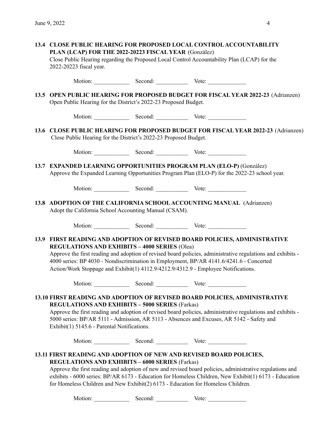| 13.4 CLOSE PUBLIC HEARING FOR PROPOSED LOCAL CONTROL ACCOUNTABILITY<br>PLAN (LCAP) FOR THE 2022-20223 FISCAL YEAR (González)<br>Close Public Hearing regarding the Proposed Local Control Accountability Plan (LCAP) for the<br>2022-20223 fiscal year.                                                                                                                                                                                |  |                             |  |  |  |  |
|----------------------------------------------------------------------------------------------------------------------------------------------------------------------------------------------------------------------------------------------------------------------------------------------------------------------------------------------------------------------------------------------------------------------------------------|--|-----------------------------|--|--|--|--|
|                                                                                                                                                                                                                                                                                                                                                                                                                                        |  | Motion: Second: Vote: Vote: |  |  |  |  |
| 13.5 OPEN PUBLIC HEARING FOR PROPOSED BUDGET FOR FISCAL YEAR 2022-23 (Adrianzen)<br>Open Public Hearing for the District's 2022-23 Proposed Budget.                                                                                                                                                                                                                                                                                    |  |                             |  |  |  |  |
|                                                                                                                                                                                                                                                                                                                                                                                                                                        |  | Motion: Second: Vote: Vote: |  |  |  |  |
| 13.6 CLOSE PUBLIC HEARING FOR PROPOSED BUDGET FOR FISCAL YEAR 2022-23 (Adrianzen)<br>Close Public Hearing for the District's 2022-23 Proposed Budget.                                                                                                                                                                                                                                                                                  |  |                             |  |  |  |  |
|                                                                                                                                                                                                                                                                                                                                                                                                                                        |  | Motion: Second: Vote: Vote: |  |  |  |  |
| 13.7 EXPANDED LEARNING OPPORTUNITIES PROGRAM PLAN (ELO-P) (González)<br>Approve the Expanded Learning Opportunities Program Plan (ELO-P) for the 2022-23 school year.                                                                                                                                                                                                                                                                  |  |                             |  |  |  |  |
|                                                                                                                                                                                                                                                                                                                                                                                                                                        |  | Motion: Second: Vote: Vote: |  |  |  |  |
| 13.8 ADOPTION OF THE CALIFORNIA SCHOOL ACCOUNTING MANUAL (Adrianzen)<br>Adopt the California School Accounting Manual (CSAM).                                                                                                                                                                                                                                                                                                          |  |                             |  |  |  |  |
|                                                                                                                                                                                                                                                                                                                                                                                                                                        |  | Motion: Second: Vote: Vote: |  |  |  |  |
| 13.9 FIRST READING AND ADOPTION OF REVISED BOARD POLICIES, ADMINISTRATIVE<br><b>REGULATIONS AND EXHIBITS - 4000 SERIES (Olea)</b><br>Approve the first reading and adoption of revised board policies, administrative regulations and exhibits -<br>4000 series: BP 4030 - Nondiscrimination in Employment, BP/AR 4141.6/4241.6 - Concerted<br>Action/Work Stoppage and Exhibit(1) 4112.9/4212.9/4312.9 - Employee Notifications.      |  |                             |  |  |  |  |
|                                                                                                                                                                                                                                                                                                                                                                                                                                        |  | Motion: Second: Vote: Vote: |  |  |  |  |
| 13.10 FIRST READING AND ADOPTION OF REVISED BOARD POLICIES, ADMINISTRATIVE<br><b>REGULATIONS AND EXHIBITS - 5000 SERIES (Farkas)</b><br>Approve the first reading and adoption of revised board policies, administrative regulations and exhibits -<br>5000 series: BP/AR 5111 - Admission, AR 5113 - Absences and Excuses, AR 5142 - Safety and<br>Exhibit(1) 5145.6 - Parental Notifications.                                        |  |                             |  |  |  |  |
|                                                                                                                                                                                                                                                                                                                                                                                                                                        |  | Motion: Second: Vote: Vote: |  |  |  |  |
| 13.11 FIRST READING AND ADOPTION OF NEW AND REVISED BOARD POLICIES,<br><b>REGULATIONS AND EXHIBITS - 6000 SERIES (Farkas)</b><br>Approve the first reading and adoption of new and revised board policies, administrative regulations and<br>exhibits - 6000 series: BP/AR 6173 - Education for Homeless Children, New Exhibit(1) 6173 - Education<br>for Homeless Children and New Exhibit(2) 6173 - Education for Homeless Children. |  | Motion: Second: Vote: Vote: |  |  |  |  |
|                                                                                                                                                                                                                                                                                                                                                                                                                                        |  |                             |  |  |  |  |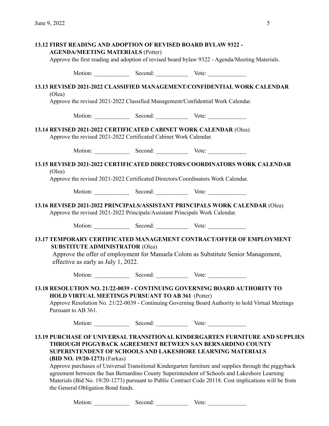| <b>AGENDA/MEETING MATERIALS (Potter)</b>                                                       |         | <b>13.12 FIRST READING AND ADOPTION OF REVISED BOARD BYLAW 9322 -</b>                                                                                                                                                                                                                                                                                                                                                                                                                                                            |  |  |  |
|------------------------------------------------------------------------------------------------|---------|----------------------------------------------------------------------------------------------------------------------------------------------------------------------------------------------------------------------------------------------------------------------------------------------------------------------------------------------------------------------------------------------------------------------------------------------------------------------------------------------------------------------------------|--|--|--|
| Approve the first reading and adoption of revised board bylaw 9322 - Agenda/Meeting Materials. |         |                                                                                                                                                                                                                                                                                                                                                                                                                                                                                                                                  |  |  |  |
|                                                                                                |         | Motion: Second: Vote: Vote:                                                                                                                                                                                                                                                                                                                                                                                                                                                                                                      |  |  |  |
| (Olea)                                                                                         |         | 13.13 REVISED 2021-2022 CLASSIFIED MANAGEMENT/CONFIDENTIAL WORK CALENDAR<br>Approve the revised 2021-2022 Classified Management/Confidential Work Calendar.                                                                                                                                                                                                                                                                                                                                                                      |  |  |  |
|                                                                                                |         | Motion: Second: Vote: Vote:                                                                                                                                                                                                                                                                                                                                                                                                                                                                                                      |  |  |  |
| Approve the revised 2021-2022 Certificated Cabinet Work Calendar.                              |         | 13.14 REVISED 2021-2022 CERTIFICATED CABINET WORK CALENDAR (Olea)                                                                                                                                                                                                                                                                                                                                                                                                                                                                |  |  |  |
|                                                                                                |         | Motion: Second: Vote: Vote:                                                                                                                                                                                                                                                                                                                                                                                                                                                                                                      |  |  |  |
| (Olea)                                                                                         |         | 13.15 REVISED 2021-2022 CERTIFICATED DIRECTORS/COORDINATORS WORK CALENDAR<br>Approve the revised 2021-2022 Certificated Directors/Coordinators Work Calendar.                                                                                                                                                                                                                                                                                                                                                                    |  |  |  |
|                                                                                                |         | Motion: Second: Vote: Vote:                                                                                                                                                                                                                                                                                                                                                                                                                                                                                                      |  |  |  |
| Approve the revised 2021-2022 Principals/Assistant Principals Work Calendar.                   |         | 13.16 REVISED 2021-2022 PRINCIPALS/ASSISTANT PRINCIPALS WORK CALENDAR (Olea)                                                                                                                                                                                                                                                                                                                                                                                                                                                     |  |  |  |
|                                                                                                |         | Motion: Second: Vote: Vote:                                                                                                                                                                                                                                                                                                                                                                                                                                                                                                      |  |  |  |
| <b>SUBSTITUTE ADMINISTRATOR (Olea)</b><br>effective as early as July 1, 2022.                  |         | <b>13.17 TEMPORARY CERTIFICATED MANAGEMENT CONTRACT/OFFER OF EMPLOYMENT</b><br>Approve the offer of employment for Manuela Colom as Substitute Senior Management,                                                                                                                                                                                                                                                                                                                                                                |  |  |  |
|                                                                                                |         | Motion: Second: Vote: Vote:                                                                                                                                                                                                                                                                                                                                                                                                                                                                                                      |  |  |  |
| <b>HOLD VIRTUAL MEETINGS PURSUANT TO AB 361 (Potter)</b><br>Pursuant to AB 361.                |         | 13.18 RESOLUTION NO. 21/22-0039 - CONTINUING GOVERNING BOARD AUTHORITY TO<br>Approve Resolution No. 21/22-0039 - Continuing Governing Board Authority to hold Virtual Meetings                                                                                                                                                                                                                                                                                                                                                   |  |  |  |
|                                                                                                |         | Motion: Second: Vote: Vote:                                                                                                                                                                                                                                                                                                                                                                                                                                                                                                      |  |  |  |
| (BID NO. 19/20-1273) (Farkas)<br>the General Obligation Bond funds.                            |         | <b>13.19 PURCHASE OF UNIVERSAL TRANSITIONAL KINDERGARTEN FURNITURE AND SUPPLIES</b><br>THROUGH PIGGYBACK AGREEMENT BETWEEN SAN BERNARDINO COUNTY<br>SUPERINTENDENT OF SCHOOLS AND LAKESHORE LEARNING MATERIALS<br>Approve purchases of Universal Transitional Kindergarten furniture and supplies through the piggyback<br>agreement between the San Bernardino County Superintendent of Schools and Lakeshore Learning<br>Materials (Bid No. 19/20-1273) pursuant to Public Contract Code 20118. Cost implications will be from |  |  |  |
| Motion:                                                                                        | Second: | Vote:                                                                                                                                                                                                                                                                                                                                                                                                                                                                                                                            |  |  |  |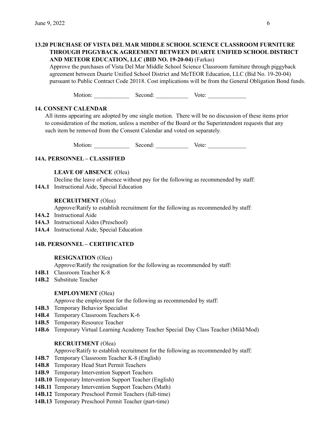# **13.20 PURCHASE OF VISTA DEL MAR MIDDLE SCHOOL SCIENCE CLASSROOM FURNITURE THROUGH PIGGYBACK AGREEMENT BETWEEN DUARTE UNIFIED SCHOOL DISTRICT AND METEOR EDUCATION, LLC (BID NO. 19-20-04)** (Farkas)

Approve the purchases of Vista Del Mar Middle School Science Classroom furniture through piggyback agreement between Duarte Unified School District and MeTEOR Education, LLC (Bid No. 19-20-04) pursuant to Public Contract Code 20118. Cost implications will be from the General Obligation Bond funds.

Motion: Second: Vote:

# **14. CONSENT CALENDAR**

All items appearing are adopted by one single motion. There will be no discussion of these items prior to consideration of the motion, unless a member of the Board or the Superintendent requests that any such item be removed from the Consent Calendar and voted on separately.

Motion: Second: Vote:

# **14A. PERSONNEL – CLASSIFIED**

# **LEAVE OF ABSENCE** (Olea)

Decline the leave of absence without pay for the following as recommended by staff:

**14A.1** Instructional Aide, Special Education

# **RECRUITMENT** (Olea)

Approve/Ratify to establish recruitment for the following as recommended by staff:

- **14A.2** Instructional Aide
- **14A.3** Instructional Aides (Preschool)
- **14A.4** Instructional Aide, Special Education

# **14B. PERSONNEL – CERTIFICATED**

# **RESIGNATION** (Olea)

Approve/Ratify the resignation for the following as recommended by staff:

- **14B.1** Classroom Teacher K-8
- **14B.2** Substitute Teacher

# **EMPLOYMENT** (Olea)

Approve the employment for the following as recommended by staff:

- **14B.3** Temporary Behavior Specialist
- **14B.4** Temporary Classroom Teachers K-6
- **14B.5** Temporary Resource Teacher
- **14B.6** Temporary Virtual Learning Academy Teacher Special Day Class Teacher (Mild/Mod)

# **RECRUITMENT** (Olea)

Approve/Ratify to establish recruitment for the following as recommended by staff:

- **14B.7** Temporary Classroom Teacher K-8 (English)
- **14B.8** Temporary Head Start Permit Teachers
- **14B.9** Temporary Intervention Support Teachers
- **14B.10** Temporary Intervention Support Teacher (English)
- **14B.11** Temporary Intervention Support Teachers (Math)
- **14B.12** Temporary Preschool Permit Teachers (full-time)
- **14B.13** Temporary Preschool Permit Teacher (part-time)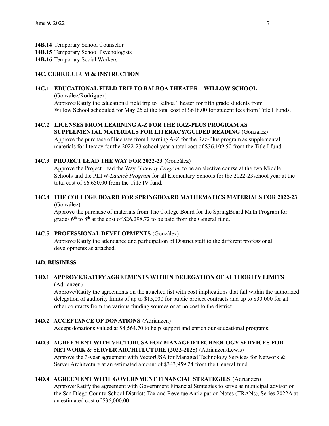**14B.14** Temporary School Counselor

- **14B.15** Temporary School Psychologists
- **14B.16** Temporary Social Workers

# **14C. CURRICULUM & INSTRUCTION**

# **14C.1 EDUCATIONAL FIELD TRIP TO BALBOA THEATER – WILLOW SCHOOL**

(González/Rodriguez) Approve/Ratify the educational field trip to Balboa Theater for fifth grade students from Willow School scheduled for May 25 at the total cost of \$618.00 for student fees from Title I Funds.

# **14C.2 LICENSES FROM LEARNING A-Z FOR THE RAZ-PLUS PROGRAM AS**

**SUPPLEMENTAL MATERIALS FOR LITERACY/GUIDED READING** (González) Approve the purchase of licenses from Learning A-Z for the Raz-Plus program as supplemental materials for literacy for the 2022-23 school year a total cost of \$36,109.50 from the Title I fund.

# **14C.3 PROJECT LEAD THE WAY FOR 2022-23** (González)

Approve the Project Lead the Way *Gateway Program* to be an elective course at the two Middle Schools and the PLTW-*Launch Program* for all Elementary Schools for the 2022-23school year at the total cost of \$6,650.00 from the Title IV fund.

#### **14C.4 THE COLLEGE BOARD FOR SPRINGBOARD MATHEMATICS MATERIALS FOR 2022-23** (González)

Approve the purchase of materials from The College Board for the SpringBoard Math Program for grades  $6<sup>th</sup>$  to  $8<sup>th</sup>$  at the cost of \$26,298.72 to be paid from the General fund.

# **14C.5 PROFESSIONAL DEVELOPMENTS** (González)

Approve/Ratify the attendance and participation of District staff to the different professional developments as attached.

#### **14D. BUSINESS**

## **14D.1 APPROVE/RATIFY AGREEMENTS WITHIN DELEGATION OF AUTHORITY LIMITS** (Adrianzen)

Approve/Ratify the agreements on the attached list with cost implications that fall within the authorized delegation of authority limits of up to \$15,000 for public project contracts and up to \$30,000 for all other contracts from the various funding sources or at no cost to the district.

# **14D.2 ACCEPTANCE OF DONATIONS** (Adrianzen)

Accept donations valued at \$4,564.70 to help support and enrich our educational programs.

## **14D.3 AGREEMENT WITH VECTORUSA FOR MANAGED TECHNOLOGY SERVICES FOR NETWORK & SERVER ARCHITECTURE (2022-2025)** (Adrianzen/Lewis)

Approve the 3-year agreement with VectorUSA for Managed Technology Services for Network & Server Architecture at an estimated amount of \$343,959.24 from the General fund.

# **14D.4 AGREEMENT WITH GOVERNMENT FINANCIAL STRATEGIES** (Adrianzen)

Approve/Ratify the agreement with Government Financial Strategies to serve as municipal advisor on the San Diego County School Districts Tax and Revenue Anticipation Notes (TRANs), Series 2022A at an estimated cost of \$36,000.00.